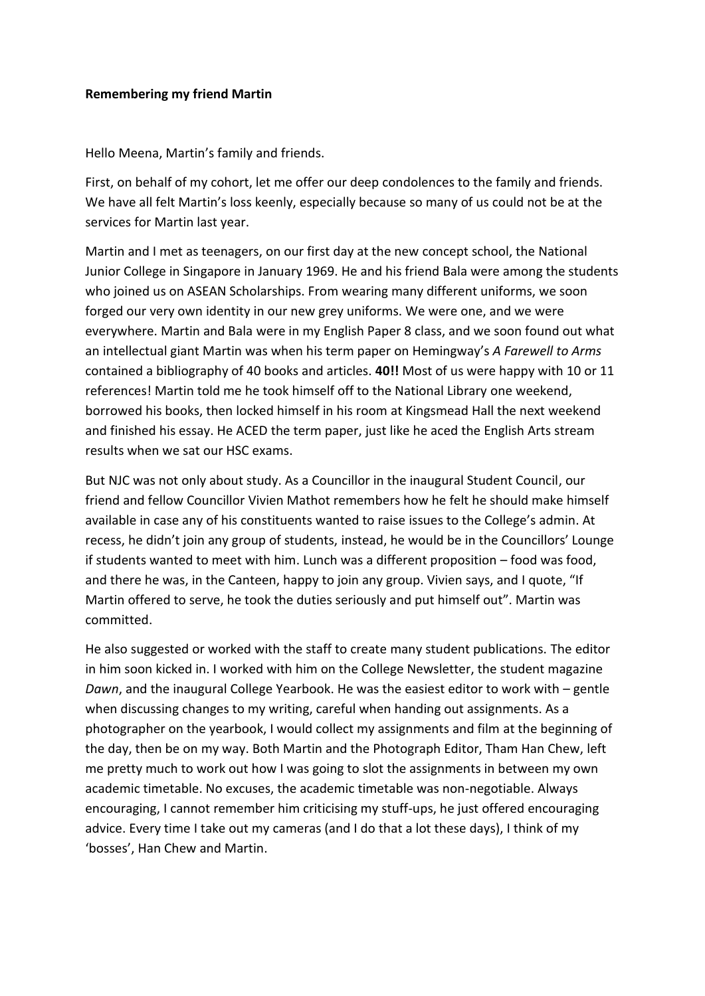## **Remembering my friend Martin**

Hello Meena, Martin's family and friends.

First, on behalf of my cohort, let me offer our deep condolences to the family and friends. We have all felt Martin's loss keenly, especially because so many of us could not be at the services for Martin last year.

Martin and I met as teenagers, on our first day at the new concept school, the National Junior College in Singapore in January 1969. He and his friend Bala were among the students who joined us on ASEAN Scholarships. From wearing many different uniforms, we soon forged our very own identity in our new grey uniforms. We were one, and we were everywhere. Martin and Bala were in my English Paper 8 class, and we soon found out what an intellectual giant Martin was when his term paper on Hemingway's *A Farewell to Arms* contained a bibliography of 40 books and articles. **40!!** Most of us were happy with 10 or 11 references! Martin told me he took himself off to the National Library one weekend, borrowed his books, then locked himself in his room at Kingsmead Hall the next weekend and finished his essay. He ACED the term paper, just like he aced the English Arts stream results when we sat our HSC exams.

But NJC was not only about study. As a Councillor in the inaugural Student Council, our friend and fellow Councillor Vivien Mathot remembers how he felt he should make himself available in case any of his constituents wanted to raise issues to the College's admin. At recess, he didn't join any group of students, instead, he would be in the Councillors' Lounge if students wanted to meet with him. Lunch was a different proposition – food was food, and there he was, in the Canteen, happy to join any group. Vivien says, and I quote, "If Martin offered to serve, he took the duties seriously and put himself out". Martin was committed.

He also suggested or worked with the staff to create many student publications. The editor in him soon kicked in. I worked with him on the College Newsletter, the student magazine *Dawn*, and the inaugural College Yearbook. He was the easiest editor to work with – gentle when discussing changes to my writing, careful when handing out assignments. As a photographer on the yearbook, I would collect my assignments and film at the beginning of the day, then be on my way. Both Martin and the Photograph Editor, Tham Han Chew, left me pretty much to work out how I was going to slot the assignments in between my own academic timetable. No excuses, the academic timetable was non-negotiable. Always encouraging, I cannot remember him criticising my stuff-ups, he just offered encouraging advice. Every time I take out my cameras (and I do that a lot these days), I think of my 'bosses', Han Chew and Martin.